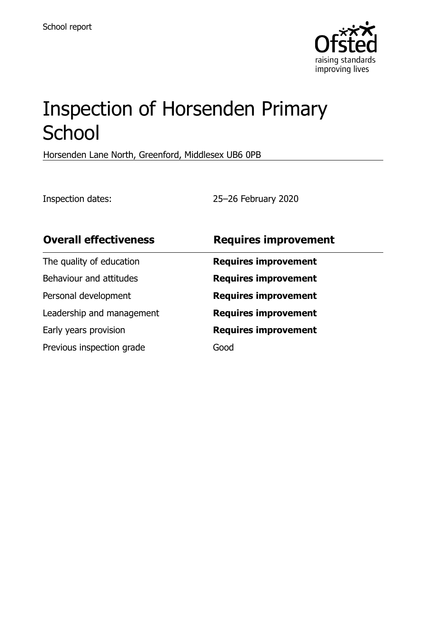

# Inspection of Horsenden Primary **School**

Horsenden Lane North, Greenford, Middlesex UB6 0PB

Inspection dates: 25–26 February 2020

| <b>Overall effectiveness</b> | <b>Requires improvement</b> |
|------------------------------|-----------------------------|
| The quality of education     | <b>Requires improvement</b> |
| Behaviour and attitudes      | <b>Requires improvement</b> |
| Personal development         | <b>Requires improvement</b> |
| Leadership and management    | <b>Requires improvement</b> |
| Early years provision        | <b>Requires improvement</b> |
| Previous inspection grade    | Good                        |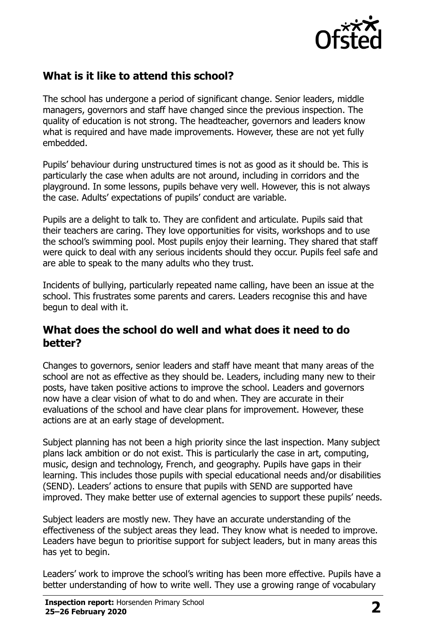

## **What is it like to attend this school?**

The school has undergone a period of significant change. Senior leaders, middle managers, governors and staff have changed since the previous inspection. The quality of education is not strong. The headteacher, governors and leaders know what is required and have made improvements. However, these are not yet fully embedded.

Pupils' behaviour during unstructured times is not as good as it should be. This is particularly the case when adults are not around, including in corridors and the playground. In some lessons, pupils behave very well. However, this is not always the case. Adults' expectations of pupils' conduct are variable.

Pupils are a delight to talk to. They are confident and articulate. Pupils said that their teachers are caring. They love opportunities for visits, workshops and to use the school's swimming pool. Most pupils enjoy their learning. They shared that staff were quick to deal with any serious incidents should they occur. Pupils feel safe and are able to speak to the many adults who they trust.

Incidents of bullying, particularly repeated name calling, have been an issue at the school. This frustrates some parents and carers. Leaders recognise this and have begun to deal with it.

### **What does the school do well and what does it need to do better?**

Changes to governors, senior leaders and staff have meant that many areas of the school are not as effective as they should be. Leaders, including many new to their posts, have taken positive actions to improve the school. Leaders and governors now have a clear vision of what to do and when. They are accurate in their evaluations of the school and have clear plans for improvement. However, these actions are at an early stage of development.

Subject planning has not been a high priority since the last inspection. Many subject plans lack ambition or do not exist. This is particularly the case in art, computing, music, design and technology, French, and geography. Pupils have gaps in their learning. This includes those pupils with special educational needs and/or disabilities (SEND). Leaders' actions to ensure that pupils with SEND are supported have improved. They make better use of external agencies to support these pupils' needs.

Subject leaders are mostly new. They have an accurate understanding of the effectiveness of the subject areas they lead. They know what is needed to improve. Leaders have begun to prioritise support for subject leaders, but in many areas this has yet to begin.

Leaders' work to improve the school's writing has been more effective. Pupils have a better understanding of how to write well. They use a growing range of vocabulary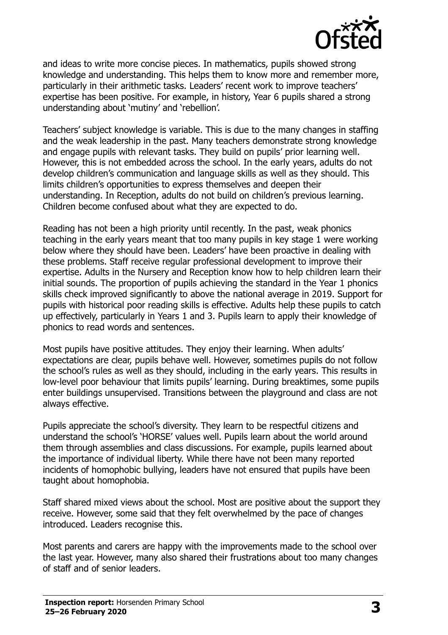

and ideas to write more concise pieces. In mathematics, pupils showed strong knowledge and understanding. This helps them to know more and remember more, particularly in their arithmetic tasks. Leaders' recent work to improve teachers' expertise has been positive. For example, in history, Year 6 pupils shared a strong understanding about 'mutiny' and 'rebellion'.

Teachers' subject knowledge is variable. This is due to the many changes in staffing and the weak leadership in the past. Many teachers demonstrate strong knowledge and engage pupils with relevant tasks. They build on pupils' prior learning well. However, this is not embedded across the school. In the early years, adults do not develop children's communication and language skills as well as they should. This limits children's opportunities to express themselves and deepen their understanding. In Reception, adults do not build on children's previous learning. Children become confused about what they are expected to do.

Reading has not been a high priority until recently. In the past, weak phonics teaching in the early years meant that too many pupils in key stage 1 were working below where they should have been. Leaders' have been proactive in dealing with these problems. Staff receive regular professional development to improve their expertise. Adults in the Nursery and Reception know how to help children learn their initial sounds. The proportion of pupils achieving the standard in the Year 1 phonics skills check improved significantly to above the national average in 2019. Support for pupils with historical poor reading skills is effective. Adults help these pupils to catch up effectively, particularly in Years 1 and 3. Pupils learn to apply their knowledge of phonics to read words and sentences.

Most pupils have positive attitudes. They enjoy their learning. When adults' expectations are clear, pupils behave well. However, sometimes pupils do not follow the school's rules as well as they should, including in the early years. This results in low-level poor behaviour that limits pupils' learning. During breaktimes, some pupils enter buildings unsupervised. Transitions between the playground and class are not always effective.

Pupils appreciate the school's diversity. They learn to be respectful citizens and understand the school's 'HORSE' values well. Pupils learn about the world around them through assemblies and class discussions. For example, pupils learned about the importance of individual liberty. While there have not been many reported incidents of homophobic bullying, leaders have not ensured that pupils have been taught about homophobia.

Staff shared mixed views about the school. Most are positive about the support they receive. However, some said that they felt overwhelmed by the pace of changes introduced. Leaders recognise this.

Most parents and carers are happy with the improvements made to the school over the last year. However, many also shared their frustrations about too many changes of staff and of senior leaders.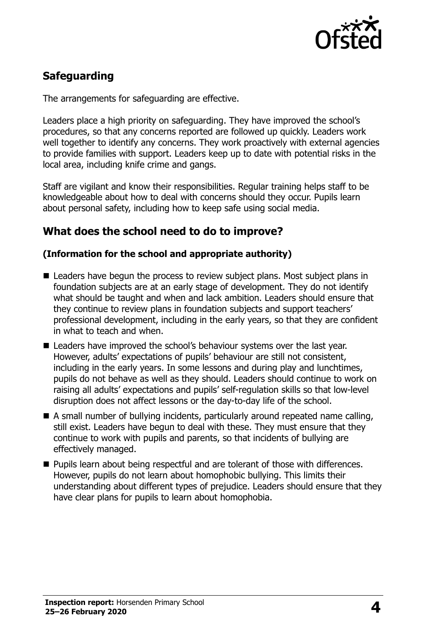

# **Safeguarding**

The arrangements for safeguarding are effective.

Leaders place a high priority on safeguarding. They have improved the school's procedures, so that any concerns reported are followed up quickly. Leaders work well together to identify any concerns. They work proactively with external agencies to provide families with support. Leaders keep up to date with potential risks in the local area, including knife crime and gangs.

Staff are vigilant and know their responsibilities. Regular training helps staff to be knowledgeable about how to deal with concerns should they occur. Pupils learn about personal safety, including how to keep safe using social media.

## **What does the school need to do to improve?**

#### **(Information for the school and appropriate authority)**

- Leaders have begun the process to review subject plans. Most subject plans in foundation subjects are at an early stage of development. They do not identify what should be taught and when and lack ambition. Leaders should ensure that they continue to review plans in foundation subjects and support teachers' professional development, including in the early years, so that they are confident in what to teach and when.
- Leaders have improved the school's behaviour systems over the last year. However, adults' expectations of pupils' behaviour are still not consistent, including in the early years. In some lessons and during play and lunchtimes, pupils do not behave as well as they should. Leaders should continue to work on raising all adults' expectations and pupils' self-regulation skills so that low-level disruption does not affect lessons or the day-to-day life of the school.
- A small number of bullying incidents, particularly around repeated name calling, still exist. Leaders have begun to deal with these. They must ensure that they continue to work with pupils and parents, so that incidents of bullying are effectively managed.
- Pupils learn about being respectful and are tolerant of those with differences. However, pupils do not learn about homophobic bullying. This limits their understanding about different types of prejudice. Leaders should ensure that they have clear plans for pupils to learn about homophobia.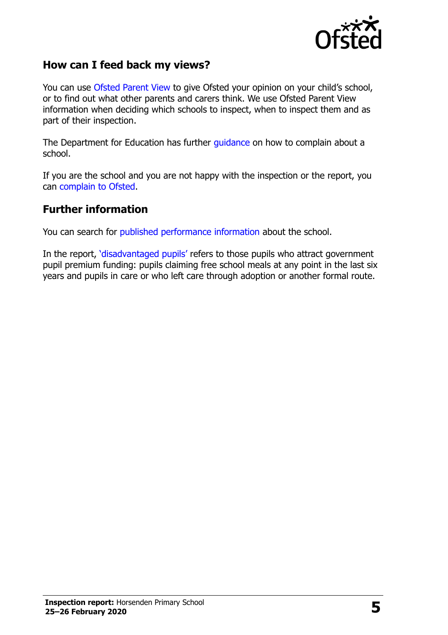

## **How can I feed back my views?**

You can use [Ofsted Parent View](http://parentview.ofsted.gov.uk/) to give Ofsted your opinion on your child's school, or to find out what other parents and carers think. We use Ofsted Parent View information when deciding which schools to inspect, when to inspect them and as part of their inspection.

The Department for Education has further [guidance](http://www.gov.uk/complain-about-school) on how to complain about a school.

If you are the school and you are not happy with the inspection or the report, you can [complain to Ofsted.](http://www.gov.uk/complain-ofsted-report)

#### **Further information**

You can search for [published performance information](http://www.compare-school-performance.service.gov.uk/) about the school.

In the report, '[disadvantaged pupils](http://www.gov.uk/guidance/pupil-premium-information-for-schools-and-alternative-provision-settings)' refers to those pupils who attract government pupil premium funding: pupils claiming free school meals at any point in the last six years and pupils in care or who left care through adoption or another formal route.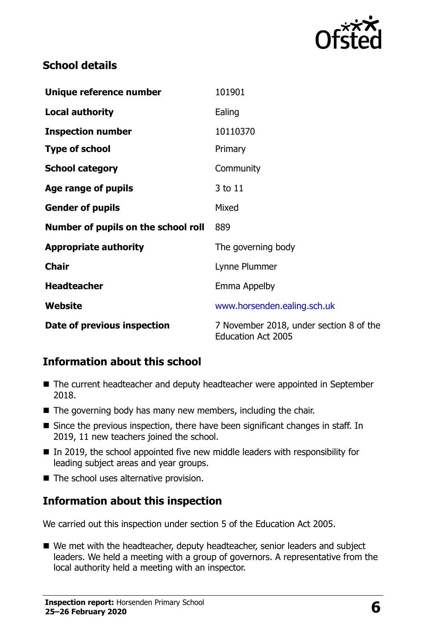

## **School details**

| Unique reference number             | 101901                                                               |
|-------------------------------------|----------------------------------------------------------------------|
| <b>Local authority</b>              | Ealing                                                               |
| <b>Inspection number</b>            | 10110370                                                             |
| <b>Type of school</b>               | Primary                                                              |
| <b>School category</b>              | Community                                                            |
| Age range of pupils                 | 3 to 11                                                              |
| <b>Gender of pupils</b>             | Mixed                                                                |
| Number of pupils on the school roll | 889                                                                  |
| <b>Appropriate authority</b>        | The governing body                                                   |
| <b>Chair</b>                        | Lynne Plummer                                                        |
| <b>Headteacher</b>                  | Emma Appelby                                                         |
| Website                             | www.horsenden.ealing.sch.uk                                          |
| Date of previous inspection         | 7 November 2018, under section 8 of the<br><b>Education Act 2005</b> |

## **Information about this school**

- The current headteacher and deputy headteacher were appointed in September 2018.
- $\blacksquare$  The governing body has many new members, including the chair.
- Since the previous inspection, there have been significant changes in staff. In 2019, 11 new teachers joined the school.
- $\blacksquare$  In 2019, the school appointed five new middle leaders with responsibility for leading subject areas and year groups.
- The school uses alternative provision.

## **Information about this inspection**

We carried out this inspection under section 5 of the Education Act 2005.

■ We met with the headteacher, deputy headteacher, senior leaders and subject leaders. We held a meeting with a group of governors. A representative from the local authority held a meeting with an inspector.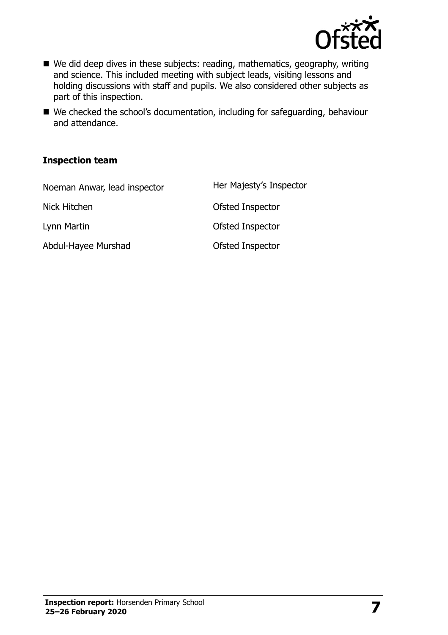

- We did deep dives in these subjects: reading, mathematics, geography, writing and science. This included meeting with subject leads, visiting lessons and holding discussions with staff and pupils. We also considered other subjects as part of this inspection.
- We checked the school's documentation, including for safeguarding, behaviour and attendance.

#### **Inspection team**

| Noeman Anwar, lead inspector | Her Majesty's Inspector |
|------------------------------|-------------------------|
| Nick Hitchen                 | Ofsted Inspector        |
| Lynn Martin                  | Ofsted Inspector        |
| Abdul-Hayee Murshad          | Ofsted Inspector        |